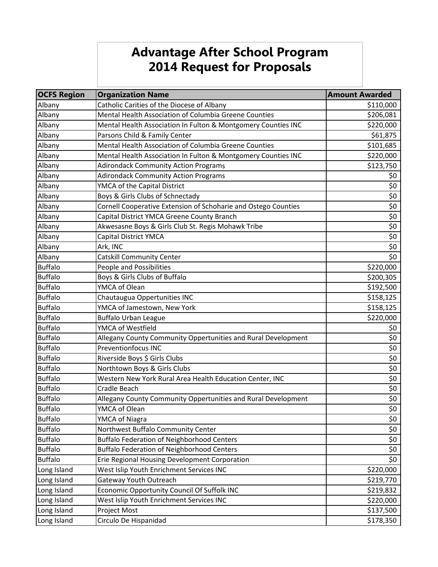## **Advantage After School Program 2014 Request for Proposals**

| <b>OCFS Region</b> | <b>Organization Name</b>                                       | <b>Amount Awarded</b> |
|--------------------|----------------------------------------------------------------|-----------------------|
| Albany             | Catholic Carities of the Diocese of Albany                     | \$110,000             |
| Albany             | Mental Health Association of Columbia Greene Counties          | \$206,081             |
| Albany             | Mental Health Association In Fulton & Montgomery Counties INC  | \$220,000             |
| Albany             | Parsons Child & Family Center                                  | \$61,875              |
| Albany             | Mental Health Association of Columbia Greene Counties          | \$101,685             |
| Albany             | Mental Health Association In Fulton & Montgomery Counties INC  | \$220,000             |
| Albany             | <b>Adirondack Community Action Programs</b>                    | \$123,750             |
| Albany             | <b>Adirondack Community Action Programs</b>                    | \$0                   |
| Albany             | YMCA of the Capital District                                   | \$0                   |
| Albany             | Boys & Girls Clubs of Schnectady                               | \$0                   |
| Albany             | Cornell Cooperative Extension of Schoharie and Ostego Counties | \$0                   |
| Albany             | Capital District YMCA Greene County Branch                     | \$0                   |
| Albany             | Akwesasne Boys & Girls Club St. Regis Mohawk Tribe             | \$0                   |
| Albany             | Capital District YMCA                                          | $\overline{\xi}$      |
| Albany             | Ark, INC                                                       | \$0                   |
| Albany             | Catskill Community Center                                      | \$0                   |
| <b>Buffalo</b>     | People and Possibilities                                       | \$220,000             |
| <b>Buffalo</b>     | Boys & Girls Clubs of Buffalo                                  | \$200,305             |
| <b>Buffalo</b>     | YMCA of Olean                                                  | \$192,500             |
| <b>Buffalo</b>     | Chautaugua Oppertunities INC                                   | \$158,125             |
| <b>Buffalo</b>     | YMCA of Jamestown, New York                                    | \$158,125             |
| <b>Buffalo</b>     | <b>Buffalo Urban League</b>                                    | \$220,000             |
| <b>Buffalo</b>     | YMCA of Westfield                                              | \$0                   |
| <b>Buffalo</b>     | Allegany County Community Oppertunities and Rural Development  | \$0                   |
| <b>Buffalo</b>     | <b>Preventionfocus INC</b>                                     | \$0                   |
| <b>Buffalo</b>     | Riverside Boys \$ Girls Clubs                                  | \$0                   |
| <b>Buffalo</b>     | Northtown Boys & Girls Clubs                                   | \$0                   |
| <b>Buffalo</b>     | Western New York Rural Area Health Education Center, INC       | \$0                   |
| <b>Buffalo</b>     | Cradle Beach                                                   | \$0                   |
| <b>Buffalo</b>     | Allegany County Community Oppertunities and Rural Development  | \$0                   |
| <b>Buffalo</b>     | YMCA of Olean                                                  | \$0                   |
| <b>Buffalo</b>     | YMCA of Niagra                                                 | \$0                   |
| <b>Buffalo</b>     | Northwest Buffalo Community Center                             | \$0                   |
| <b>Buffalo</b>     | <b>Buffalo Federation of Neighborhood Centers</b>              | \$0                   |
| <b>Buffalo</b>     | <b>Buffalo Federation of Neighborhood Centers</b>              | \$0                   |
| <b>Buffalo</b>     | Erie Regional Housing Development Corporation                  | \$0                   |
| Long Island        | West Islip Youth Enrichment Services INC                       | \$220,000             |
| Long Island        | Gateway Youth Outreach                                         | \$219,770             |
| Long Island        | Economic Opportunity Council Of Suffolk INC                    | \$219,832             |
| Long Island        | West Islip Youth Enrichment Services INC                       | \$220,000             |
| Long Island        | Project Most                                                   | \$137,500             |
| Long Island        | Circulo De Hispanidad                                          | \$178,350             |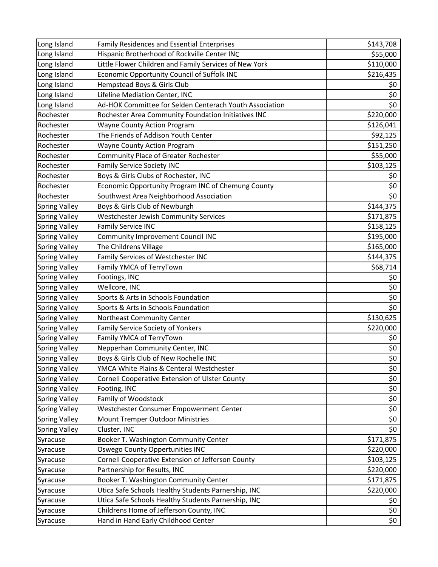| Long Island          | Family Residences and Essential Enterprises             | \$143,708 |
|----------------------|---------------------------------------------------------|-----------|
| Long Island          | Hispanic Brotherhood of Rockville Center INC            | \$55,000  |
| Long Island          | Little Flower Children and Family Services of New York  | \$110,000 |
| Long Island          | Economic Opportunity Council of Suffolk INC             | \$216,435 |
| Long Island          | Hempstead Boys & Girls Club                             | \$0       |
| Long Island          | Lifeline Mediation Center, INC                          | \$0       |
| Long Island          | Ad-HOK Committee for Selden Centerach Youth Association | \$0       |
| Rochester            | Rochester Area Community Foundation Initiatives INC     | \$220,000 |
| Rochester            | <b>Wayne County Action Program</b>                      | \$126,041 |
| Rochester            | The Friends of Addison Youth Center                     | \$92,125  |
| Rochester            | <b>Wayne County Action Program</b>                      | \$151,250 |
| Rochester            | Community Place of Greater Rochester                    | \$55,000  |
| Rochester            | <b>Family Service Society INC</b>                       | \$103,125 |
| Rochester            | Boys & Girls Clubs of Rochester, INC                    | \$0       |
| Rochester            | Economic Opportunity Program INC of Chemung County      | \$0       |
| Rochester            | Southwest Area Neighborhood Association                 | \$0       |
| <b>Spring Valley</b> | Boys & Girls Club of Newburgh                           | \$144,375 |
| <b>Spring Valley</b> | Westchester Jewish Community Services                   | \$171,875 |
| <b>Spring Valley</b> | <b>Family Service INC</b>                               | \$158,125 |
| <b>Spring Valley</b> | Community Improvement Council INC                       | \$195,000 |
| <b>Spring Valley</b> | The Childrens Village                                   | \$165,000 |
| <b>Spring Valley</b> | Family Services of Westchester INC                      | \$144,375 |
| <b>Spring Valley</b> | Family YMCA of TerryTown                                | \$68,714  |
| <b>Spring Valley</b> | Footings, INC                                           | \$0       |
| <b>Spring Valley</b> | Wellcore, INC                                           | \$0       |
| <b>Spring Valley</b> | Sports & Arts in Schools Foundation                     | \$0       |
| <b>Spring Valley</b> | Sports & Arts in Schools Foundation                     | \$0       |
| <b>Spring Valley</b> | Northeast Community Center                              | \$130,625 |
| <b>Spring Valley</b> | <b>Family Service Society of Yonkers</b>                | \$220,000 |
| <b>Spring Valley</b> | Family YMCA of TerryTown                                | \$0       |
| <b>Spring Valley</b> | Nepperhan Community Center, INC                         | \$0       |
| <b>Spring Valley</b> | Boys & Girls Club of New Rochelle INC                   | \$0\$     |
| <b>Spring Valley</b> | YMCA White Plains & Centeral Westchester                | \$0       |
| <b>Spring Valley</b> | Cornell Cooperative Extension of Ulster County          | \$0       |
| <b>Spring Valley</b> | Footing, INC                                            | \$0       |
| <b>Spring Valley</b> | Family of Woodstock                                     | \$0       |
| <b>Spring Valley</b> | Westchester Consumer Empowerment Center                 | \$0       |
| <b>Spring Valley</b> | Mount Tremper Outdoor Ministries                        | \$0       |
| <b>Spring Valley</b> | Cluster, INC                                            | \$0       |
| Syracuse             | Booker T. Washington Community Center                   | \$171,875 |
| Syracuse             | Oswego County Oppertunities INC                         | \$220,000 |
| Syracuse             | Cornell Cooperative Extension of Jefferson County       | \$103,125 |
| Syracuse             | Partnership for Results, INC                            | \$220,000 |
| Syracuse             | Booker T. Washington Community Center                   | \$171,875 |
| Syracuse             | Utica Safe Schools Healthy Students Parnership, INC     | \$220,000 |
| Syracuse             | Utica Safe Schools Healthy Students Parnership, INC     | \$0       |
| Syracuse             | Childrens Home of Jefferson County, INC                 | \$0       |
| Syracuse             | Hand in Hand Early Childhood Center                     | \$0       |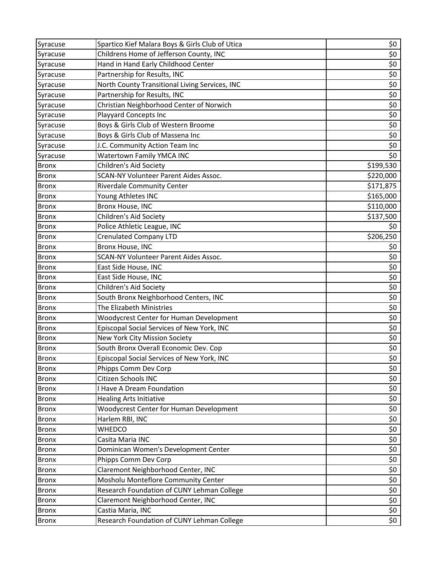| Syracuse     | Spartico Kief Malara Boys & Girls Club of Utica | \$0       |
|--------------|-------------------------------------------------|-----------|
| Syracuse     | Childrens Home of Jefferson County, INC         | \$0       |
| Syracuse     | Hand in Hand Early Childhood Center             | \$0       |
| Syracuse     | Partnership for Results, INC                    | \$0       |
| Syracuse     | North County Transitional Living Services, INC  | \$0       |
| Syracuse     | Partnership for Results, INC                    | \$0       |
| Syracuse     | Christian Neighborhood Center of Norwich        | \$0       |
| Syracuse     | Playyard Concepts Inc                           | \$0       |
| Syracuse     | Boys & Girls Club of Western Broome             | \$0       |
| Syracuse     | Boys & Girls Club of Massena Inc                | \$0       |
| Syracuse     | J.C. Community Action Team Inc                  | \$0       |
| Syracuse     | Watertown Family YMCA INC                       | \$0       |
| <b>Bronx</b> | Children's Aid Society                          | \$199,530 |
| <b>Bronx</b> | <b>SCAN-NY Volunteer Parent Aides Assoc.</b>    | \$220,000 |
| <b>Bronx</b> | <b>Riverdale Community Center</b>               | \$171,875 |
| <b>Bronx</b> | Young Athletes INC                              | \$165,000 |
| <b>Bronx</b> | Bronx House, INC                                | \$110,000 |
| <b>Bronx</b> | Children's Aid Society                          | \$137,500 |
| <b>Bronx</b> | Police Athletic League, INC                     | \$0       |
| <b>Bronx</b> | <b>Crenulated Company LTD</b>                   | \$206,250 |
| <b>Bronx</b> | Bronx House, INC                                | \$0       |
| <b>Bronx</b> | SCAN-NY Volunteer Parent Aides Assoc.           | \$0       |
| <b>Bronx</b> | East Side House, INC                            | \$0       |
| <b>Bronx</b> | East Side House, INC                            | \$0       |
| <b>Bronx</b> | Children's Aid Society                          | \$0       |
| <b>Bronx</b> | South Bronx Neighborhood Centers, INC           | \$0       |
| <b>Bronx</b> | The Elizabeth Ministries                        | \$0       |
| <b>Bronx</b> | Woodycrest Center for Human Development         | \$0       |
| <b>Bronx</b> | Episcopal Social Services of New York, INC      | \$0       |
| <b>Bronx</b> | New York City Mission Society                   | \$0       |
| <b>Bronx</b> | South Bronx Overall Economic Dev. Cop           | \$0       |
| <b>Bronx</b> | Episcopal Social Services of New York, INC      | \$0\$     |
| Bronx        | Phipps Comm Dev Corp                            | \$0       |
| <b>Bronx</b> | Citizen Schools INC                             | \$0       |
| <b>Bronx</b> | <b>Have A Dream Foundation</b>                  | \$0       |
| <b>Bronx</b> | <b>Healing Arts Initiative</b>                  | \$0       |
| <b>Bronx</b> | <b>Woodycrest Center for Human Development</b>  | \$0       |
| <b>Bronx</b> | Harlem RBI, INC                                 | \$0       |
| <b>Bronx</b> | WHEDCO                                          | \$0       |
| <b>Bronx</b> | Casita Maria INC                                | \$0       |
| <b>Bronx</b> | Dominican Women's Development Center            | \$0       |
| <b>Bronx</b> | Phipps Comm Dev Corp                            | \$0       |
| <b>Bronx</b> | Claremont Neighborhood Center, INC              | \$0       |
| <b>Bronx</b> | Mosholu Monteflore Community Center             | \$0       |
| <b>Bronx</b> | Research Foundation of CUNY Lehman College      | \$0       |
| <b>Bronx</b> | Claremont Neighborhood Center, INC              | \$0       |
| <b>Bronx</b> | Castia Maria, INC                               | \$0       |
| <b>Bronx</b> | Research Foundation of CUNY Lehman College      | \$0       |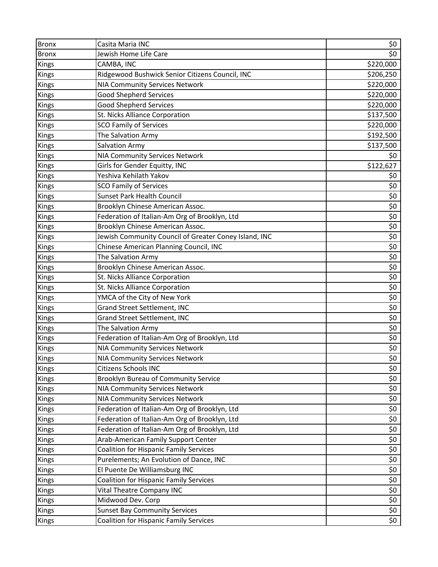| <b>Bronx</b> | Casita Maria INC                                      | \$0       |
|--------------|-------------------------------------------------------|-----------|
| <b>Bronx</b> | Jewish Home Life Care                                 | \$0       |
| Kings        | CAMBA, INC                                            | \$220,000 |
| <b>Kings</b> | Ridgewood Bushwick Senior Citizens Council, INC       | \$206,250 |
| Kings        | <b>NIA Community Services Network</b>                 | \$220,000 |
| Kings        | <b>Good Shepherd Services</b>                         | \$220,000 |
| Kings        | <b>Good Shepherd Services</b>                         | \$220,000 |
| Kings        | St. Nicks Alliance Corporation                        | \$137,500 |
| Kings        | <b>SCO Family of Services</b>                         | \$220,000 |
| Kings        | The Salvation Army                                    | \$192,500 |
| Kings        | <b>Salvation Army</b>                                 | \$137,500 |
| Kings        | <b>NIA Community Services Network</b>                 | \$0       |
| Kings        | Girls for Gender Equitty, INC                         | \$122,627 |
| Kings        | Yeshiva Kehilath Yakov                                | \$0       |
| Kings        | <b>SCO Family of Services</b>                         | \$0       |
| Kings        | <b>Sunset Park Health Council</b>                     | \$0       |
| Kings        | Brooklyn Chinese American Assoc.                      | \$0       |
| Kings        | Federation of Italian-Am Org of Brooklyn, Ltd         | \$0       |
| Kings        | Brooklyn Chinese American Assoc.                      | \$0       |
| Kings        | Jewish Community Council of Greater Coney Island, INC | \$0       |
| Kings        | Chinese American Planning Council, INC                | \$0       |
| Kings        | The Salvation Army                                    | \$0       |
| Kings        | Brooklyn Chinese American Assoc.                      | \$0       |
| Kings        | St. Nicks Alliance Corporation                        | \$0       |
| Kings        | St. Nicks Alliance Corporation                        | \$0       |
| Kings        | YMCA of the City of New York                          | \$0       |
| Kings        | Grand Street Settlement, INC                          | \$0       |
| Kings        | Grand Street Settlement, INC                          | \$0       |
| Kings        | The Salvation Army                                    | \$0       |
| Kings        | Federation of Italian-Am Org of Brooklyn, Ltd         | \$0       |
| Kings        | NIA Community Services Network                        | \$0       |
| Kings        | <b>NIA Community Services Network</b>                 | \$0\$     |
| Kings        | Citizens Schools INC                                  | \$0       |
| Kings        | Brooklyn Bureau of Community Service                  | \$0       |
| Kings        | <b>NIA Community Services Network</b>                 | $$0$$     |
| Kings        | <b>NIA Community Services Network</b>                 | \$0       |
| Kings        | Federation of Italian-Am Org of Brooklyn, Ltd         | \$0       |
| Kings        | Federation of Italian-Am Org of Brooklyn, Ltd         | \$0       |
| Kings        | Federation of Italian-Am Org of Brooklyn, Ltd         | \$0       |
| Kings        | Arab-American Family Support Center                   | $$0$$     |
| Kings        | <b>Coalition for Hispanic Family Services</b>         | \$0       |
| Kings        | Purelements; An Evolution of Dance, INC               | \$0       |
| Kings        | El Puente De Williamsburg INC                         | \$0       |
| Kings        | Coalition for Hispanic Family Services                | \$0       |
| Kings        | Vital Theatre Company INC                             | \$0       |
| Kings        | Midwood Dev. Corp                                     | \$0       |
| Kings        | <b>Sunset Bay Community Services</b>                  | \$0       |
| Kings        | <b>Coalition for Hispanic Family Services</b>         | \$0       |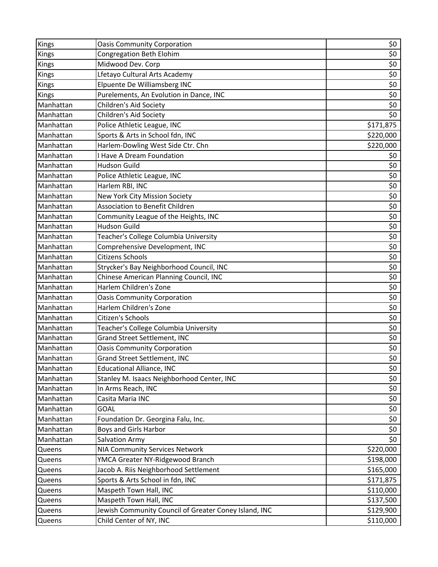| Kings     | <b>Oasis Community Corporation</b>                    | \$0                |
|-----------|-------------------------------------------------------|--------------------|
| Kings     | Congregation Beth Elohim                              | \$0                |
| Kings     | Midwood Dev. Corp                                     | \$0                |
| Kings     | Lfetayo Cultural Arts Academy                         | \$0                |
| Kings     | Elpuente De Williamsberg INC                          | \$0                |
| Kings     | Purelements, An Evolution in Dance, INC               | $\overline{\xi_0}$ |
| Manhattan | Children's Aid Society                                | \$0                |
| Manhattan | Children's Aid Society                                | \$0                |
| Manhattan | Police Athletic League, INC                           | \$171,875          |
| Manhattan | Sports & Arts in School fdn, INC                      | \$220,000          |
| Manhattan | Harlem-Dowling West Side Ctr. Chn                     | \$220,000          |
| Manhattan | <b>Have A Dream Foundation</b>                        | \$0                |
| Manhattan | <b>Hudson Guild</b>                                   | \$0                |
| Manhattan | Police Athletic League, INC                           | \$0                |
| Manhattan | Harlem RBI, INC                                       | \$0                |
| Manhattan | New York City Mission Society                         | \$0                |
| Manhattan | <b>Association to Benefit Children</b>                | \$0                |
| Manhattan | Community League of the Heights, INC                  | \$0                |
| Manhattan | <b>Hudson Guild</b>                                   | \$0                |
| Manhattan | Teacher's College Columbia University                 | \$0                |
| Manhattan | Comprehensive Development, INC                        | \$0                |
| Manhattan | <b>Citizens Schools</b>                               | $\overline{\xi_0}$ |
| Manhattan | Strycker's Bay Neighborhood Council, INC              | \$0                |
| Manhattan | Chinese American Planning Council, INC                | \$0                |
| Manhattan | Harlem Children's Zone                                | \$0                |
| Manhattan | <b>Oasis Community Corporation</b>                    | $\overline{\xi}$   |
| Manhattan | Harlem Children's Zone                                | \$0                |
| Manhattan | Citizen's Schools                                     | \$0                |
| Manhattan | Teacher's College Columbia University                 | \$0                |
| Manhattan | Grand Street Settlement, INC                          | \$0                |
| Manhattan | <b>Oasis Community Corporation</b>                    | \$0                |
| Manhattan | <b>Grand Street Settlement, INC</b>                   | \$0                |
| Manhattan | <b>Educational Alliance, INC</b>                      | \$0                |
| Manhattan | Stanley M. Isaacs Neighborhood Center, INC            | \$0                |
| Manhattan | In Arms Reach, INC                                    | \$0                |
| Manhattan | Casita Maria INC                                      | \$0                |
| Manhattan | <b>GOAL</b>                                           | \$0                |
| Manhattan | Foundation Dr. Georgina Falu, Inc.                    | \$0                |
| Manhattan | Boys and Girls Harbor                                 | \$0                |
| Manhattan | Salvation Army                                        | \$0                |
| Queens    | <b>NIA Community Services Network</b>                 | \$220,000          |
| Queens    | YMCA Greater NY-Ridgewood Branch                      | \$198,000          |
| Queens    | Jacob A. Riis Neighborhood Settlement                 | \$165,000          |
| Queens    | Sports & Arts School in fdn, INC                      | \$171,875          |
| Queens    | Maspeth Town Hall, INC                                | \$110,000          |
| Queens    | Maspeth Town Hall, INC                                | \$137,500          |
| Queens    | Jewish Community Council of Greater Coney Island, INC | \$129,900          |
| Queens    | Child Center of NY, INC                               | \$110,000          |